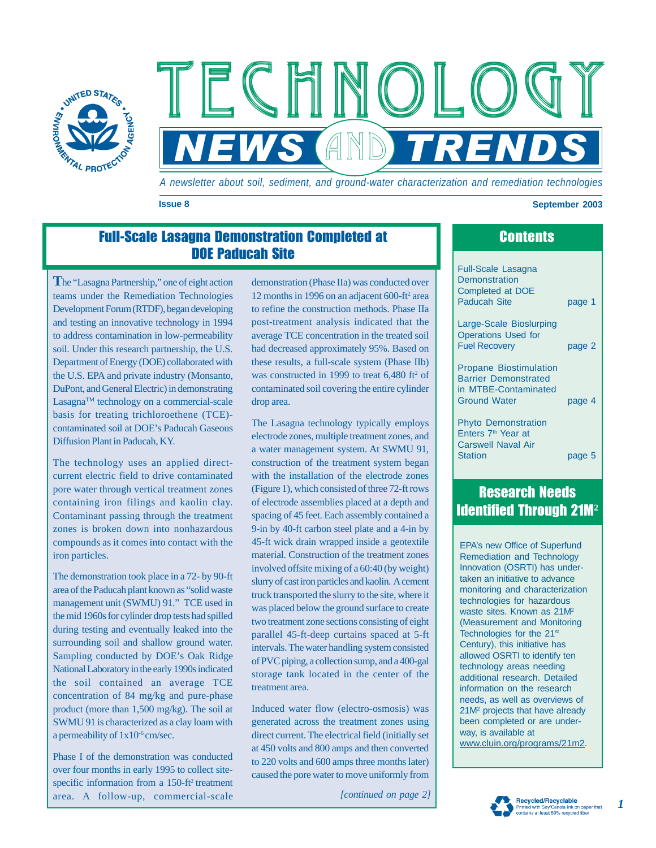

*A newsletter about soil, sediment, and ground-water characterization and remediation technologies* 

**NEWS AND TRENDS** 

### **Issue 8 September 2003**

# Full-Scale Lasagna Demonstration Completed at DOE Paducah Site

**T**he "Lasagna Partnership," one of eight action teams under the Remediation Technologies Development Forum (RTDF), began developing and testing an innovative technology in 1994 to address contamination in low-permeability soil. Under this research partnership, the U.S. Department of Energy (DOE) collaborated with the U.S. EPA and private industry (Monsanto, DuPont, and General Electric) in demonstrating Lasagna™ technology on a commercial-scale basis for treating trichloroethene (TCE) contaminated soil at DOE's Paducah Gaseous Diffusion Plant in Paducah, KY.

The technology uses an applied directcurrent electric field to drive contaminated pore water through vertical treatment zones containing iron filings and kaolin clay. Contaminant passing through the treatment zones is broken down into nonhazardous compounds as it comes into contact with the iron particles.

The demonstration took place in a 72- by 90-ft area of the Paducah plant known as "solid waste management unit (SWMU) 91." TCE used in the mid 1960s for cylinder drop tests had spilled during testing and eventually leaked into the surrounding soil and shallow ground water. Sampling conducted by DOE's Oak Ridge National Laboratory in the early 1990s indicated the soil contained an average TCE concentration of 84 mg/kg and pure-phase product (more than 1,500 mg/kg). The soil at SWMU 91 is characterized as a clay loam with a permeability of 1x10-6 cm/sec.

Phase I of the demonstration was conducted over four months in early 1995 to collect sitespecific information from a 150-ft<sup>2</sup> treatment area. A follow-up, commercial-scale *[continued on page 2]* 

demonstration (Phase IIa) was conducted over 12 months in 1996 on an adjacent 600-ft2 area to refine the construction methods. Phase IIa post-treatment analysis indicated that the average TCE concentration in the treated soil had decreased approximately 95%. Based on these results, a full-scale system (Phase IIb) was constructed in 1999 to treat  $6,480$  ft<sup>2</sup> of contaminated soil covering the entire cylinder drop area.

TFCHNOL

The Lasagna technology typically employs electrode zones, multiple treatment zones, and a water management system. At SWMU 91, construction of the treatment system began with the installation of the electrode zones (Figure 1), which consisted of three 72-ft rows of electrode assemblies placed at a depth and spacing of 45 feet. Each assembly contained a 9-in by 40-ft carbon steel plate and a 4-in by 45-ft wick drain wrapped inside a geotextile material. Construction of the treatment zones involved offsite mixing of a 60:40 (by weight) slurry of cast iron particles and kaolin. A cement truck transported the slurry to the site, where it was placed below the ground surface to create two treatment zone sections consisting of eight parallel 45-ft-deep curtains spaced at 5-ft intervals. The water handling system consisted of PVC piping, a collection sump, and a 400-gal storage tank located in the center of the treatment area.

Induced water flow (electro-osmosis) was generated across the treatment zones using direct current. The electrical field (initially set at 450 volts and 800 amps and then converted to 220 volts and 600 amps three months later) caused the pore water to move uniformly from

# **Contents**

Full-Scale Lasagna **Demonstration** Completed at DOE Paducah Site page 1

Large-Scale Bioslurping Operations Used for Fuel Recovery **page 2** 

Propane Biostimulation Barrier Demonstrated in MTBE-Contaminated Ground Water **page 4** 

Phyto Demonstration Enters 7<sup>th</sup> Year at Carswell Naval Air Station **page 5** 

# Research Needs Identified Through 21M**<sup>2</sup>**

EPA's new Office of Superfund Remediation and Technology Innovation (OSRTI) has undertaken an initiative to advance monitoring and characterization technologies for hazardous waste sites. Known as 21M<sup>2</sup> (Measurement and Monitoring Technologies for the 21<sup>st</sup> Century), this initiative has allowed OSRTI to identify ten technology areas needing additional research. Detailed information on the research needs, as well as overviews of 21M<sup>2</sup> projects that have already been completed or are underway, is available at www.cluin.org/programs/21m2.



*1*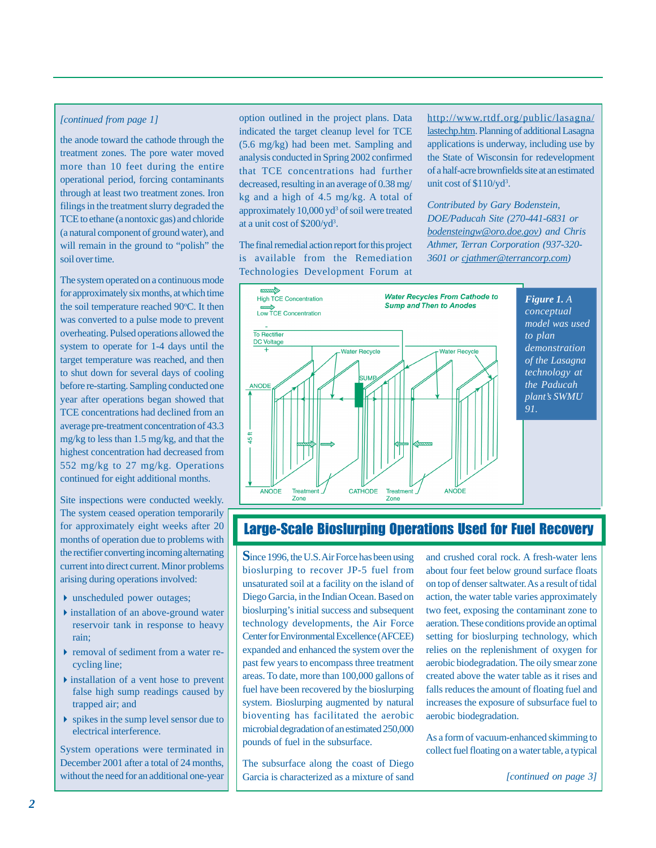### *[continued from page 1]*

the anode toward the cathode through the treatment zones. The pore water moved more than 10 feet during the entire operational period, forcing contaminants through at least two treatment zones. Iron filings in the treatment slurry degraded the TCE to ethane (a nontoxic gas) and chloride (a natural component of ground water), and will remain in the ground to "polish" the soil over time.

The system operated on a continuous mode for approximately six months, at which time the soil temperature reached 90°C. It then was converted to a pulse mode to prevent overheating. Pulsed operations allowed the system to operate for 1-4 days until the target temperature was reached, and then to shut down for several days of cooling before re-starting. Sampling conducted one year after operations began showed that TCE concentrations had declined from an average pre-treatment concentration of 43.3 mg/kg to less than 1.5 mg/kg, and that the highest concentration had decreased from 552 mg/kg to 27 mg/kg. Operations continued for eight additional months.

The system ceased operation temporarily for approximately eight weeks after 20 months of operation due to problems with the rectifier converting incoming alternating current into direct current. Minor problems arising during operations involved: Site inspections were conducted weekly.

- � unscheduled power outages;
- �installation of an above-ground water reservoir tank in response to heavy rain;
- � removal of sediment from a water recycling line;
- $\triangleright$  installation of a vent hose to prevent false high sump readings caused by trapped air; and
- � spikes in the sump level sensor due to electrical interference.

System operations were terminated in December 2001 after a total of 24 months, without the need for an additional one-year option outlined in the project plans. Data indicated the target cleanup level for TCE (5.6 mg/kg) had been met. Sampling and analysis conducted in Spring 2002 confirmed that TCE concentrations had further decreased, resulting in an average of 0.38 mg/ approximately 10,000 yd<sup>3</sup> of soil were treated at a unit cost of \$200/yd<sup>3</sup>. kg and a high of 4.5 mg/kg. A total of

The final remedial action report for this project is available from the Remediation Technologies Development Forum at <http://www.rtdf.org/public/lasagna/> of a half-acre brownfields site at an estimated unit cost of  $$110$ /yd<sup>3</sup>. lastechp.htm. Planning of additional Lasagna applications is underway, including use by the State of Wisconsin for redevelopment

*Contributed by Gary Bodenstein, DOE/Paducah Site (270-441-6831 or 3601 or cjathmer@terrancorp.com) bodensteingw@oro.doe.gov) and Chris Athmer, Terran Corporation (937-320-*



### *conceptual model was used to plan demonstration of the Lasagna technology at the Paducah 91. plant's SWMU*

## Large-Scale Bioslurping Operations Used for Fuel Recovery

Since 1996, the U.S. Air Force has been using bioslurping to recover JP-5 fuel from unsaturated soil at a facility on the island of Diego Garcia, in the Indian Ocean. Based on Center for Environmental Excellence (AFCEE) expanded and enhanced the system over the past few years to encompass three treatment fuel have been recovered by the bioslurping system. Bioslurping augmented by natural bioventing has facilitated the aerobic microbial degradation of an estimated 250,000 pounds of fuel in the subsurface. bioslurping's initial success and subsequent technology developments, the Air Force areas. To date, more than 100,000 gallons of

The subsurface along the coast of Diego Garcia is characterized as a mixture of sand about four feet below ground surface floats action, the water table varies approximately two feet, exposing the contaminant zone to aeration. These conditions provide an optimal relies on the replenishment of oxygen for aerobic biodegradation. The oily smear zone created above the water table as it rises and falls reduces the amount of floating fuel and increases the exposure of subsurface fuel to aerobic biodegradation. and crushed coral rock. A fresh-water lens on top of denser saltwater. As a result of tidal setting for bioslurping technology, which

As a form of vacuum-enhanced skimming to collect fuel floating on a water table, a typical

*[continued on page 3]*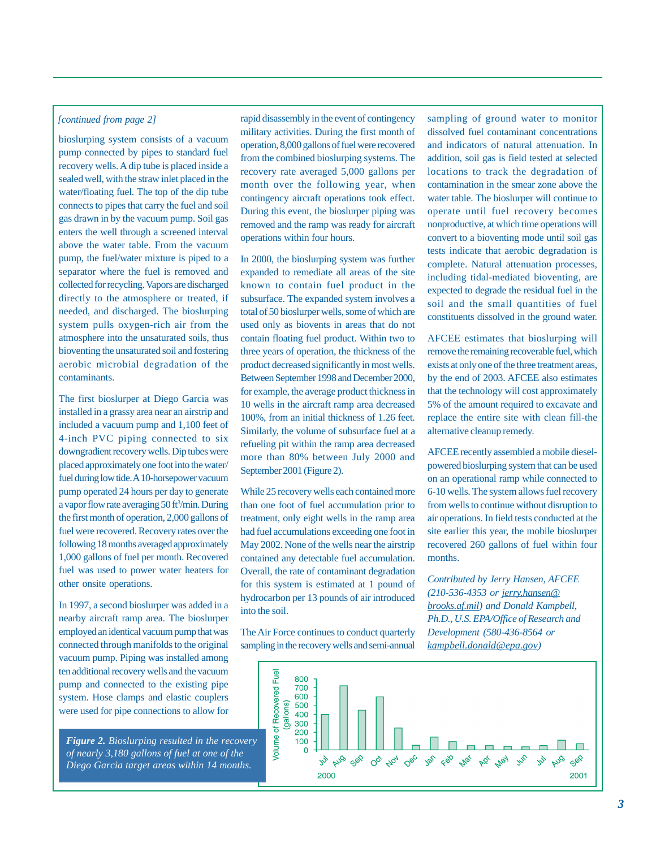water/floating fuel. The top of the dip tube<br>connects to pipes that carry the fuel and soil<br>connects to pipes that carry the fuel and soil<br>connects to pipes that carry the fuel and soil<br>connects to pipes that carry the fue

a vapor flow rate averaging 50 ft<sup>3</sup>/min. During

In 1997, a second bioslurper was added in a into the soil.<br> **brooks.af.mil**) and Donald Kampbell, into the soil.<br> **brooks.af.mil**) and Donald Kampbell, *ph.D., U.S. EPA/Office of Research and* nearby aircraft ramp area. The bioslurper employed an identical vacuum pump that was The Air Force continues to conduct quarterly *Development (580-436-8564 or*  vacuum pump. Piping was installed among ten additional recovery wells and the vacuum pump and connected to the existing pipe system. Hose clamps and elastic couplers were used for pipe connections to allow for

*Figure 2. Bioslurping resulted in the recovery of nearly 3,180 gallons of fuel at one of the Diego Garcia target areas within 14 months.* 

*[continued from page 2]* rapid disassembly in the event of contingency sampling of ground water to monitor military activities. During the first month of dissolved fuel contaminant concentrations bioslurping system consists of a vacuum operation, 8,000 gallons of fuel were recovered and indicators of natural attenuation. In pump connected by pipes to standard fuel pump connected by pipes to standard fuel<br>recovery wells. A dip tube is placed inside a<br>recovery rate averaged 5,000 gallons per locations to track the degradation of<br>sealed well, with the straw inlet placed in the<br>month ov

atmosphere into the unsaturated soils, thus contain floating fuel product. Within two to AFCEE estimates that bioslurping will bioventing the unsaturated soil and fostering three years of operation, the thickness of the remove the remaining recoverable fuel, which aerobic microbial degradation of the product decreased significantly in most wells. exists at only one of the three treatment areas, contaminants. Between September 1998 and December 2000, by the end of 2003. AFCEE also estimates The first bioslurper at Diego Garcia was<br>
installed in a grassy area near an airstrip and<br>
included a vacuum pump and 1,100 feet of<br>
4-inch PVC piping connected to six<br>
downgradient recovery wells. Dip tubes were<br>
downgrad

than one foot of fuel accumulation prior to from wells to continue without disruption to the first month of operation, 2,000 gallons of treatment, only eight wells in the ramp area air operations. In field tests conducted at the fuel were recovered. Recovery rates over the had fuel accumulations exceeding one foot in site earlier this year, the mobile bioslurper following 18 months averaged approximately May 2002. None of the wells near the airstrip recovered 260 gallons of fuel within four 1,000 gallons of fuel per month. Recovered contained any detectable fuel accumulation. months. fuel was used to power water heaters for Overall, the rate of contaminant degradation other onsite operations. for this system is estimated at 1 pound of *Contributed by Jerry Hansen, AFCEE*  hydrocarbon per 13 pounds of air introduced<br>*brooks.af.mil*) and Donald Kampbell,

connected through manifolds to the original sampling in the recovery wells and semi-annual *kampbell.donald@epa.gov)* 

above a placed approximately one foot into the water/<br>placed approximately one foot into the water/<br>fuel during low tide. A 10-horsepower vacuum<br>fuel during low tide. A 10-horsepower vacuum<br>on an operational ramp while con on an operational ramp while connected to pump operated 24 hours per day to generate While 25 recovery wells each contained more 6-10 wells. The system allows fuel recovery

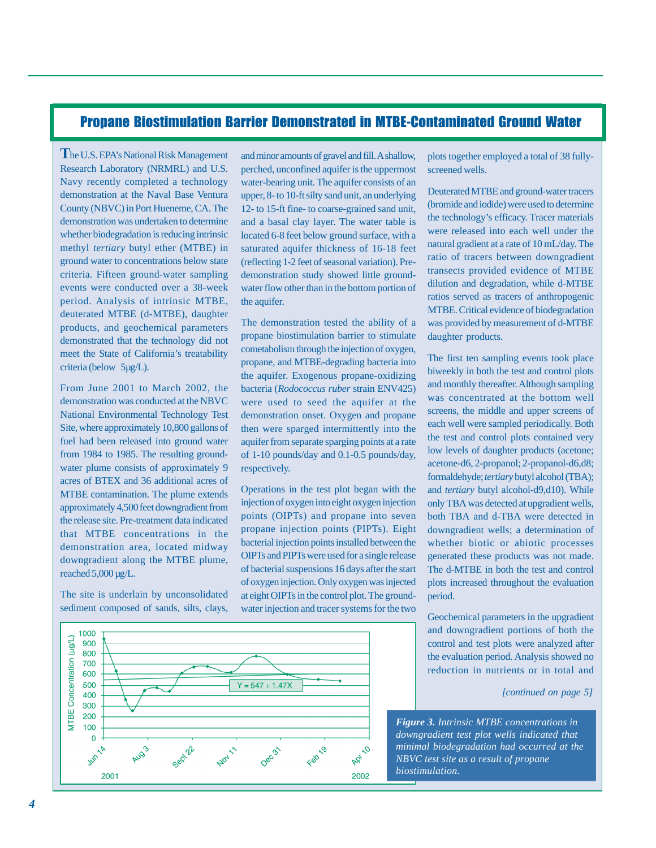## Propane Biostimulation Barrier Demonstrated in MTBE-Contaminated Ground Water

**T** he U.S. EPA's National Risk Management Research Laboratory (NRMRL) and U.S. Navy recently completed a technology County (NBVC) in Port Hueneme, CA. The demonstration was undertaken to determine whether biodegradation is reducing intrinsic methyl *tertiary* butyl ether (MTBE) in ground water to concentrations below state criteria. Fifteen ground-water sampling events were conducted over a 38-week deuterated MTBE (d-MTBE), daughter products, and geochemical parameters demonstrated that the technology did not criteria (below 5µg/L). demonstration at the Naval Base Ventura period. Analysis of intrinsic MTBE, meet the State of California's treatability

From June 2001 to March 2002, the demonstration was conducted at the NBVC Site, where approximately 10,800 gallons of fuel had been released into ground water from 1984 to 1985. The resulting groundwater plume consists of approximately 9 acres of BTEX and 36 additional acres of MTBE contamination. The plume extends approximately 4,500 feet downgradient from the release site. Pre-treatment data indicated that MTBE concentrations in the demonstration area, located midway downgradient along the MTBE plume, reached 5,000 µg/L. National Environmental Technology Test

The site is underlain by unconsolidated sediment composed of sands, silts, clays, perched, unconfined aquifer is the uppermost water-bearing unit. The aquifer consists of an 12- to 15-ft fine- to coarse-grained sand unit, located 6-8 feet below ground surface, with a saturated aquifer thickness of 16-18 feet (reflecting 1-2 feet of seasonal variation). Predemonstration study showed little groundwater flow other than in the bottom portion of and minor amounts of gravel and fill. A shallow, upper, 8- to 10-ft silty sand unit, an underlying and a basal clay layer. The water table is the aquifer.

The demonstration tested the ability of a propane biostimulation barrier to stimulate cometabolism through the injection of oxygen, propane, and MTBE-degrading bacteria into bacteria (*Rodococcus ruber* strain ENV425) were used to seed the aquifer at the demonstration onset. Oxygen and propane then were sparged intermittently into the aquifer from separate sparging points at a rate the aquifer. Exogenous propane-oxidizing of 1-10 pounds/day and 0.1-0.5 pounds/day, respectively.

Operations in the test plot began with the injection of oxygen into eight oxygen injection bacterial injection points installed between the of bacterial suspensions 16 days after the start of oxygen injection. Only oxygen was injected water injection and tracer systems for the two points (OIPTs) and propane into seven propane injection points (PIPTs). Eight OIPTs and PIPTs were used for a single release at eight OIPTs in the control plot. The ground-

plots together employed a total of 38 fullyscreened wells.

Deuterated MTBE and ground-water tracers (bromide and iodide) were used to determine were released into each well under the ratio of tracers between downgradient transects provided evidence of MTBE dilution and degradation, while d-MTBE ratios served as tracers of anthropogenic MTBE. Critical evidence of biodegradation was provided by measurement of d-MTBE daughter products. the technology's efficacy. Tracer materials natural gradient at a rate of 10 mL/day. The

The first ten sampling events took place biweekly in both the test and control plots was concentrated at the bottom well screens, the middle and upper screens of the test and control plots contained very low levels of daughter products (acetone; acetone-d6, 2-propanol; 2-propanol-d6,d8; formaldehyde; *tertiary* butyl alcohol (TBA); and *tertiary* butyl alcohol-d9,d10). While only TBA was detected at upgradient wells, both TBA and d-TBA were detected in downgradient wells; a determination of whether biotic or abiotic processes generated these products was not made. The d-MTBE in both the test and control plots increased throughout the evaluation period. and monthly thereafter. Although sampling each well were sampled periodically. Both

Geochemical parameters in the upgradient and downgradient portions of both the control and test plots were analyzed after reduction in nutrients or in total and the evaluation period. Analysis showed no

*[continued on page 5]* 

*Figure 3. Intrinsic MTBE concentrations in downgradient test plot wells indicated that minimal biodegradation had occurred at the NBVC test site as a result of propane biostimulation.* 

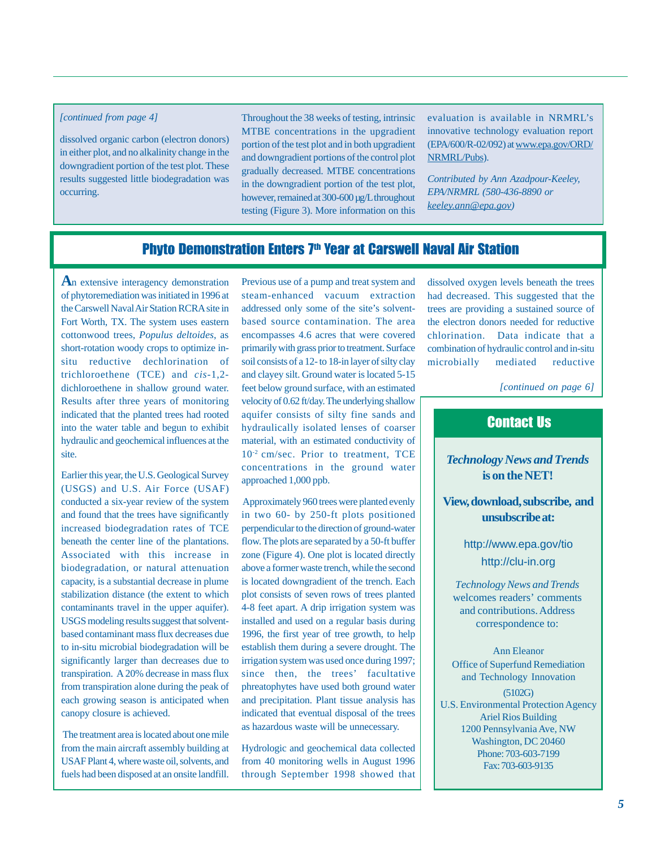## *[continued from page 4]*

dissolved organic carbon (electron donors) in either plot, and no alkalinity change in the downgradient portion of the test plot. These results suggested little biodegradation was occurring.

Throughout the 38 weeks of testing, intrinsic MTBE concentrations in the upgradient portion of the test plot and in both upgradient and downgradient portions of the control plot gradually decreased. MTBE concentrations in the downgradient portion of the test plot, testing (Figure 3). More information on this however, remained at 300-600 µg/L throughout

innovative technology evaluation report (EPA/600/R-02/092) at www.epa.gov/ORD/ NRMRL/Pubs). evaluation is available in NRMRL's

*keeley.ann@epa.gov) Contributed by Ann Azadpour-Keeley, EPA/NRMRL (580-436-8890 or* 

## Phyto Demonstration Enters 7<sup>th</sup> Year at Carswell Naval Air Station

**A**n extensive interagency demonstration of phytoremediation was initiated in 1996 at cottonwood trees, *Populus deltoides*, as short-rotation woody crops to optimize insitu reductive dechlorination of trichloroethene (TCE) and *cis-*1,2- Results after three years of monitoring indicated that the planted trees had rooted into the water table and begun to exhibit hydraulic and geochemical influences at the site. the Carswell Naval Air Station RCRA site in Fort Worth, TX. The system uses eastern dichloroethene in shallow ground water.

conducted a six-year review of the system and found that the trees have significantly increased biodegradation rates of TCE beneath the center line of the plantations. Associated with this increase in biodegradation, or natural attenuation stabilization distance (the extent to which contaminants travel in the upper aquifer). USGS modeling results suggest that solventbased contaminant mass flux decreases due to in-situ microbial biodegradation will be significantly larger than decreases due to transpiration. A 20% decrease in mass flux from transpiration alone during the peak of each growing season is anticipated when canopy closure is achieved. Earlier this year, the U.S. Geological Survey (USGS) and U.S. Air Force (USAF) capacity, is a substantial decrease in plume

The treatment area is located about one mile from the main aircraft assembly building at USAF Plant 4, where waste oil, solvents, and fuels had been disposed at an onsite landfill.

Previous use of a pump and treat system and steam-enhanced vacuum extraction based source contamination. The area encompasses 4.6 acres that were covered primarily with grass prior to treatment. Surface soil consists of a 12- to 18-in layer of silty clay and clayey silt. Ground water is located 5-15 feet below ground surface, with an estimated aquifer consists of silty fine sands and hydraulically isolated lenses of coarser material, with an estimated conductivity of 10-2 cm/sec. Prior to treatment, TCE concentrations in the ground water approached 1,000 ppb. addressed only some of the site's solventvelocity of 0.62 ft/day. The underlying shallow

Approximately 960 trees were planted evenly in two 60- by 250-ft plots positioned perpendicular to the direction of ground-water zone (Figure 4). One plot is located directly above a former waste trench, while the second is located downgradient of the trench. Each plot consists of seven rows of trees planted installed and used on a regular basis during 1996, the first year of tree growth, to help establish them during a severe drought. The irrigation system was used once during 1997; since then, the trees' facultative phreatophytes have used both ground water and precipitation. Plant tissue analysis has indicated that eventual disposal of the trees flow. The plots are separated by a 50-ft buffer 4-8 feet apart. A drip irrigation system was as hazardous waste will be unnecessary.

Hydrologic and geochemical data collected through September 1998 showed that from 40 monitoring wells in August 1996

dissolved oxygen levels beneath the trees had decreased. This suggested that the trees are providing a sustained source of the electron donors needed for reductive chlorination. Data indicate that a combination of hydraulic control and in-situ microbially mediated reductive

*[continued on page 6]* 

# Contact Us

## **is on the NET!**  *Technology News and Trends*

**and View, download, subscribe, unsubscribe at:** 

> <http://clu-in.org> <http://www.epa.gov/tio>

*T echnology News and Trends*  welcomes readers' comments correspondence to: and contributions. Address

Ann Eleanor Office of Superfund Remediation and Technology Innovation

(5102G) Ariel Rios Building Phone: 703-603-7199 Fax: 703-603-9135 U.S. Environmental Protection Agency 1200 Pennsylvania Ave, NW Washington, DC 20460